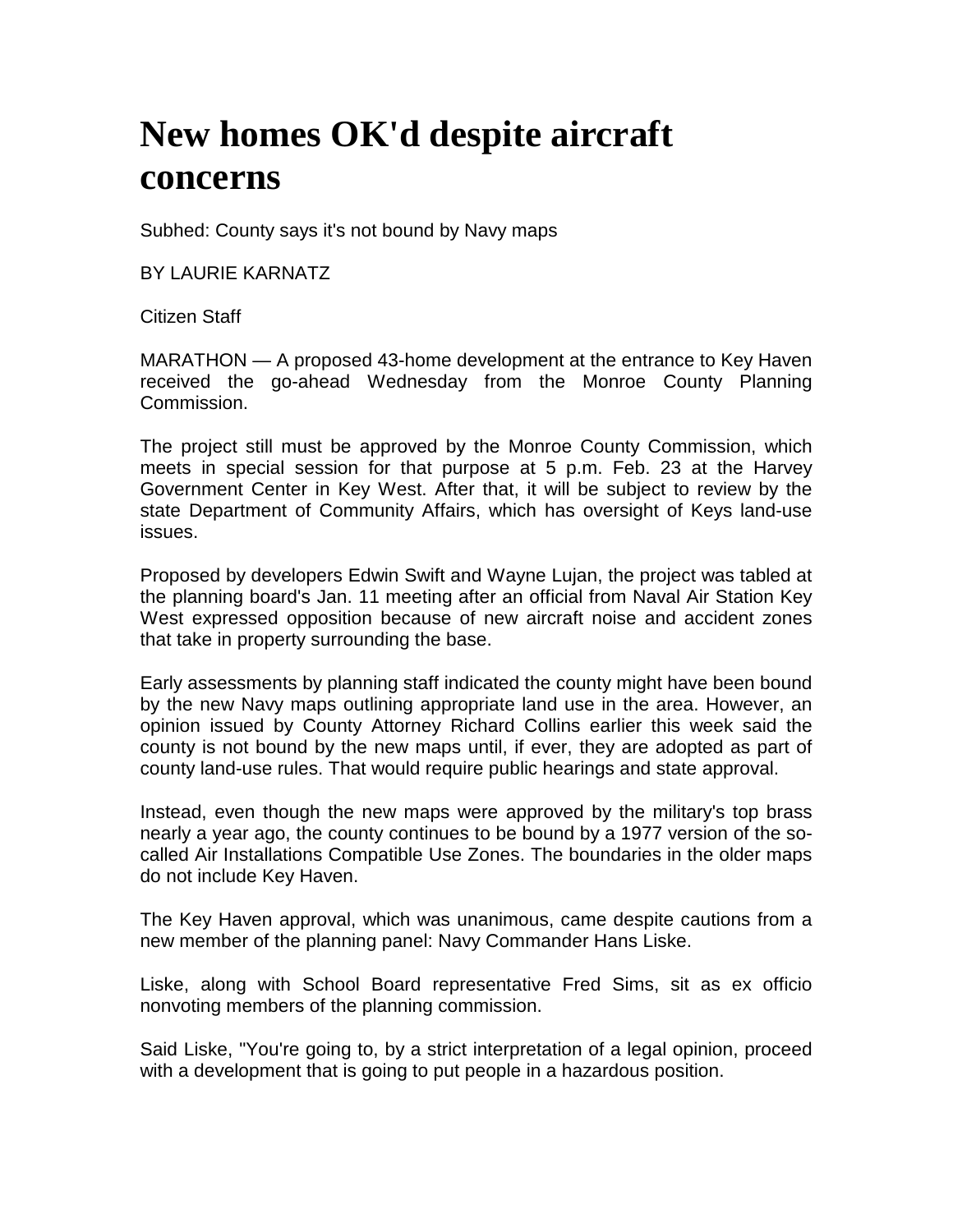## **New homes OK'd despite aircraft concerns**

Subhed: County says it's not bound by Navy maps

BY LAURIE KARNATZ

Citizen Staff

MARATHON — A proposed 43-home development at the entrance to Key Haven received the go-ahead Wednesday from the Monroe County Planning Commission.

The project still must be approved by the Monroe County Commission, which meets in special session for that purpose at 5 p.m. Feb. 23 at the Harvey Government Center in Key West. After that, it will be subject to review by the state Department of Community Affairs, which has oversight of Keys land-use issues.

Proposed by developers Edwin Swift and Wayne Lujan, the project was tabled at the planning board's Jan. 11 meeting after an official from Naval Air Station Key West expressed opposition because of new aircraft noise and accident zones that take in property surrounding the base.

Early assessments by planning staff indicated the county might have been bound by the new Navy maps outlining appropriate land use in the area. However, an opinion issued by County Attorney Richard Collins earlier this week said the county is not bound by the new maps until, if ever, they are adopted as part of county land-use rules. That would require public hearings and state approval.

Instead, even though the new maps were approved by the military's top brass nearly a year ago, the county continues to be bound by a 1977 version of the socalled Air Installations Compatible Use Zones. The boundaries in the older maps do not include Key Haven.

The Key Haven approval, which was unanimous, came despite cautions from a new member of the planning panel: Navy Commander Hans Liske.

Liske, along with School Board representative Fred Sims, sit as ex officio nonvoting members of the planning commission.

Said Liske, "You're going to, by a strict interpretation of a legal opinion, proceed with a development that is going to put people in a hazardous position.